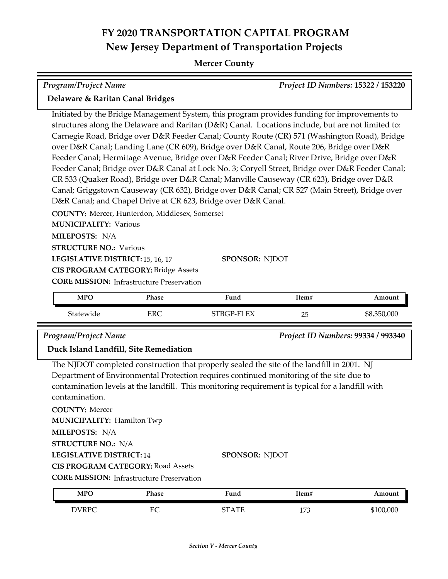### **Mercer County**

| <b>Program/Project Name</b>                                                                                                                                                                                                                                   |            |                                                                                                                                                                                                                                                                                                                                                                                                                                                                                                                                                                                                                                                                                                                                                                                                                                                                                        |       | Project ID Numbers: 15322 / 153220 |
|---------------------------------------------------------------------------------------------------------------------------------------------------------------------------------------------------------------------------------------------------------------|------------|----------------------------------------------------------------------------------------------------------------------------------------------------------------------------------------------------------------------------------------------------------------------------------------------------------------------------------------------------------------------------------------------------------------------------------------------------------------------------------------------------------------------------------------------------------------------------------------------------------------------------------------------------------------------------------------------------------------------------------------------------------------------------------------------------------------------------------------------------------------------------------------|-------|------------------------------------|
| Delaware & Raritan Canal Bridges                                                                                                                                                                                                                              |            |                                                                                                                                                                                                                                                                                                                                                                                                                                                                                                                                                                                                                                                                                                                                                                                                                                                                                        |       |                                    |
| COUNTY: Mercer, Hunterdon, Middlesex, Somerset<br><b>MUNICIPALITY: Various</b><br>MILEPOSTS: N/A<br><b>STRUCTURE NO.: Various</b><br>LEGISLATIVE DISTRICT: 15, 16, 17<br><b>CIS PROGRAM CATEGORY: Bridge Assets</b>                                           |            | Initiated by the Bridge Management System, this program provides funding for improvements to<br>structures along the Delaware and Raritan (D&R) Canal. Locations include, but are not limited to:<br>Carnegie Road, Bridge over D&R Feeder Canal; County Route (CR) 571 (Washington Road), Bridge<br>over D&R Canal; Landing Lane (CR 609), Bridge over D&R Canal, Route 206, Bridge over D&R<br>Feeder Canal; Hermitage Avenue, Bridge over D&R Feeder Canal; River Drive, Bridge over D&R<br>Feeder Canal; Bridge over D&R Canal at Lock No. 3; Coryell Street, Bridge over D&R Feeder Canal;<br>CR 533 (Quaker Road), Bridge over D&R Canal; Manville Causeway (CR 623), Bridge over D&R<br>Canal; Griggstown Causeway (CR 632), Bridge over D&R Canal; CR 527 (Main Street), Bridge over<br>D&R Canal; and Chapel Drive at CR 623, Bridge over D&R Canal.<br><b>SPONSOR: NJDOT</b> |       |                                    |
| <b>CORE MISSION:</b> Infrastructure Preservation<br><b>MPO</b>                                                                                                                                                                                                | Phase      | Fund                                                                                                                                                                                                                                                                                                                                                                                                                                                                                                                                                                                                                                                                                                                                                                                                                                                                                   | Item# | Amount                             |
| Statewide                                                                                                                                                                                                                                                     | <b>ERC</b> | STBGP-FLEX                                                                                                                                                                                                                                                                                                                                                                                                                                                                                                                                                                                                                                                                                                                                                                                                                                                                             | 25    | \$8,350,000                        |
| <b>Program/Project Name</b><br>Duck Island Landfill, Site Remediation                                                                                                                                                                                         |            |                                                                                                                                                                                                                                                                                                                                                                                                                                                                                                                                                                                                                                                                                                                                                                                                                                                                                        |       | Project ID Numbers: 99334 / 993340 |
| contamination.<br><b>COUNTY: Mercer</b><br><b>MUNICIPALITY: Hamilton Twp</b><br>MILEPOSTS: N/A<br><b>STRUCTURE NO.: N/A</b><br><b>LEGISLATIVE DISTRICT:14</b><br><b>CIS PROGRAM CATEGORY: Road Assets</b><br><b>CORE MISSION: Infrastructure Preservation</b> |            | The NJDOT completed construction that properly sealed the site of the landfill in 2001. NJ<br>Department of Environmental Protection requires continued monitoring of the site due to<br>contamination levels at the landfill. This monitoring requirement is typical for a landfill with<br>SPONSOR: NJDOT                                                                                                                                                                                                                                                                                                                                                                                                                                                                                                                                                                            |       |                                    |
| <b>MPO</b>                                                                                                                                                                                                                                                    | Phase      | Fund                                                                                                                                                                                                                                                                                                                                                                                                                                                                                                                                                                                                                                                                                                                                                                                                                                                                                   | Item# | Amount                             |
| <b>DVRPC</b>                                                                                                                                                                                                                                                  | EC         | <b>STATE</b>                                                                                                                                                                                                                                                                                                                                                                                                                                                                                                                                                                                                                                                                                                                                                                                                                                                                           | 173   | \$100,000                          |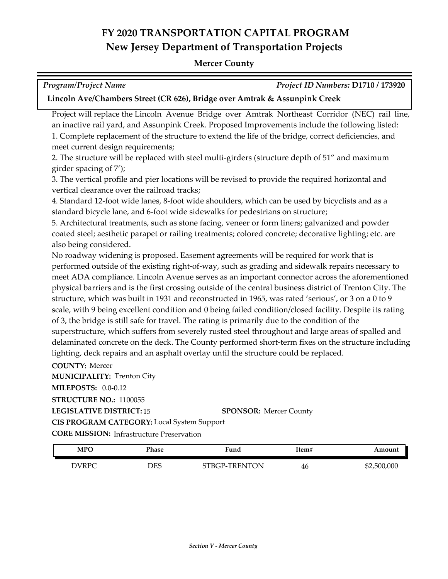#### **Mercer County**

| <b>Program/Project Name</b>                                                | Project ID Numbers: D1710 / 173920 |
|----------------------------------------------------------------------------|------------------------------------|
| Lincoln Ave/Chambers Street (CR 626), Bridge over Amtrak & Assunpink Creek |                                    |

Project will replace the Lincoln Avenue Bridge over Amtrak Northeast Corridor (NEC) rail line, an inactive rail yard, and Assunpink Creek. Proposed Improvements include the following listed: 1. Complete replacement of the structure to extend the life of the bridge, correct deficiencies, and meet current design requirements;

2. The structure will be replaced with steel multi-girders (structure depth of 51" and maximum girder spacing of 7');

3. The vertical profile and pier locations will be revised to provide the required horizontal and vertical clearance over the railroad tracks;

4. Standard 12-foot wide lanes, 8-foot wide shoulders, which can be used by bicyclists and as a standard bicycle lane, and 6-foot wide sidewalks for pedestrians on structure;

5. Architectural treatments, such as stone facing, veneer or form liners; galvanized and powder coated steel; aesthetic parapet or railing treatments; colored concrete; decorative lighting; etc. are also being considered.

No roadway widening is proposed. Easement agreements will be required for work that is performed outside of the existing right-of-way, such as grading and sidewalk repairs necessary to meet ADA compliance. Lincoln Avenue serves as an important connector across the aforementioned physical barriers and is the first crossing outside of the central business district of Trenton City. The structure, which was built in 1931 and reconstructed in 1965, was rated 'serious', or 3 on a 0 to 9 scale, with 9 being excellent condition and 0 being failed condition/closed facility. Despite its rating of 3, the bridge is still safe for travel. The rating is primarily due to the condition of the superstructure, which suffers from severely rusted steel throughout and large areas of spalled and delaminated concrete on the deck. The County performed short-term fixes on the structure including lighting, deck repairs and an asphalt overlay until the structure could be replaced.

**COUNTY:** Mercer **LEGISLATIVE DISTRICT:** 15 **MILEPOSTS:** 0.0-0.12 **STRUCTURE NO.:** 1100055 **MUNICIPALITY: Trenton City CORE MISSION:** Infrastructure Preservation **SPONSOR:** Mercer County **CIS PROGRAM CATEGORY:** Local System Support

| MPO          | Phase | 'una              | ltem# | Amount      |
|--------------|-------|-------------------|-------|-------------|
| <b>DVRPC</b> | DES   | :P-TRENTON<br>`R6 | 46    | \$2,500,000 |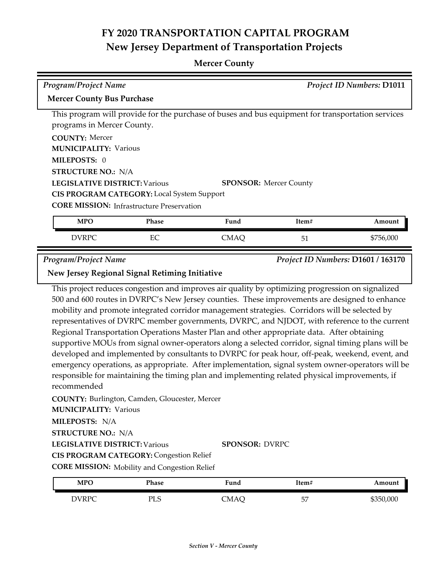#### **Mercer County**

| <b>Program/Project Name</b>                       |              |                                                                                                   |       | <b>Project ID Numbers: D1011</b> |
|---------------------------------------------------|--------------|---------------------------------------------------------------------------------------------------|-------|----------------------------------|
| <b>Mercer County Bus Purchase</b>                 |              |                                                                                                   |       |                                  |
|                                                   |              | This program will provide for the purchase of buses and bus equipment for transportation services |       |                                  |
| programs in Mercer County.                        |              |                                                                                                   |       |                                  |
| <b>COUNTY: Mercer</b>                             |              |                                                                                                   |       |                                  |
| <b>MUNICIPALITY: Various</b>                      |              |                                                                                                   |       |                                  |
| MILEPOSTS: 0                                      |              |                                                                                                   |       |                                  |
| <b>STRUCTURE NO.: N/A</b>                         |              |                                                                                                   |       |                                  |
| <b>LEGISLATIVE DISTRICT: Various</b>              |              | <b>SPONSOR:</b> Mercer County                                                                     |       |                                  |
| <b>CIS PROGRAM CATEGORY:</b> Local System Support |              |                                                                                                   |       |                                  |
| <b>CORE MISSION:</b> Infrastructure Preservation  |              |                                                                                                   |       |                                  |
| <b>MPO</b>                                        | <b>Phase</b> | Fund                                                                                              | Item# | Amount                           |
| <b>DVRPC</b>                                      | EC           | <b>CMAQ</b>                                                                                       | 51    | \$756,000                        |

*Program/Project Name Project ID Numbers:* **D1601 / 163170**

**New Jersey Regional Signal Retiming Initiative**

This project reduces congestion and improves air quality by optimizing progression on signalized 500 and 600 routes in DVRPC's New Jersey counties. These improvements are designed to enhance mobility and promote integrated corridor management strategies. Corridors will be selected by representatives of DVRPC member governments, DVRPC, and NJDOT, with reference to the current Regional Transportation Operations Master Plan and other appropriate data. After obtaining supportive MOUs from signal owner-operators along a selected corridor, signal timing plans will be developed and implemented by consultants to DVRPC for peak hour, off-peak, weekend, event, and emergency operations, as appropriate. After implementation, signal system owner-operators will be responsible for maintaining the timing plan and implementing related physical improvements, if recommended

**COUNTY:** Burlington, Camden, Gloucester, Mercer **LEGISLATIVE DISTRICT:** Various **MILEPOSTS:** N/A **STRUCTURE NO.:** N/A **MUNICIPALITY: Various CORE MISSION:** Mobility and Congestion Relief **SPONSOR:** DVRPC **CIS PROGRAM CATEGORY:** Congestion Relief

| <b>MPO</b>   | Phase     | Fund | !tem#   | Amount    |
|--------------|-----------|------|---------|-----------|
| <b>DVRPC</b> | DI C<br>ப | CMAÇ | 57<br>ັ | \$350,000 |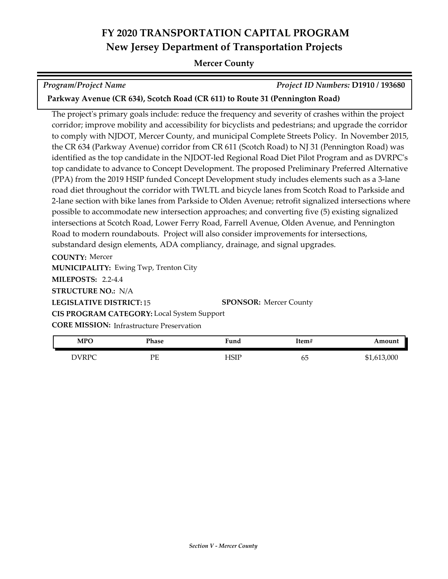#### **Mercer County**

*Program/Project Name Project ID Numbers:* **D1910 / 193680**

**Parkway Avenue (CR 634), Scotch Road (CR 611) to Route 31 (Pennington Road)**

The project's primary goals include: reduce the frequency and severity of crashes within the project corridor; improve mobility and accessibility for bicyclists and pedestrians; and upgrade the corridor to comply with NJDOT, Mercer County, and municipal Complete Streets Policy. In November 2015, the CR 634 (Parkway Avenue) corridor from CR 611 (Scotch Road) to NJ 31 (Pennington Road) was identified as the top candidate in the NJDOT-led Regional Road Diet Pilot Program and as DVRPC's top candidate to advance to Concept Development. The proposed Preliminary Preferred Alternative (PPA) from the 2019 HSIP funded Concept Development study includes elements such as a 3‐lane road diet throughout the corridor with TWLTL and bicycle lanes from Scotch Road to Parkside and 2-lane section with bike lanes from Parkside to Olden Avenue; retrofit signalized intersections where possible to accommodate new intersection approaches; and converting five (5) existing signalized intersections at Scotch Road, Lower Ferry Road, Farrell Avenue, Olden Avenue, and Pennington Road to modern roundabouts. Project will also consider improvements for intersections, substandard design elements, ADA compliancy, drainage, and signal upgrades.

**COUNTY:** Mercer **LEGISLATIVE DISTRICT:** 15 **MILEPOSTS:** 2.2-4.4 **STRUCTURE NO.:** N/A **MUNICIPALITY: Ewing Twp, Trenton City CORE MISSION:** Infrastructure Preservation **SPONSOR:** Mercer County **CIS PROGRAM CATEGORY:** Local System Support

| <b>MPC</b> | Phase | <sup>T</sup> und | Item# | Amount      |
|------------|-------|------------------|-------|-------------|
| DVRPC      | РF    | $-$ ISIP         | ხე    | \$1,613,000 |